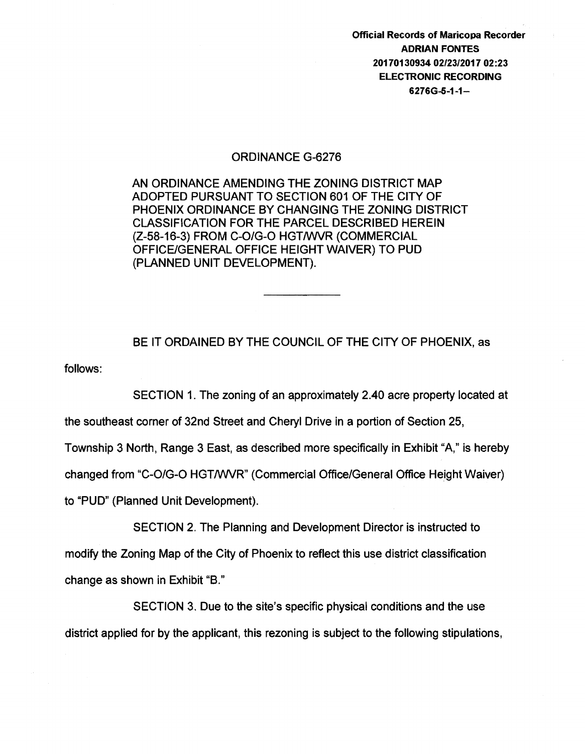Official Records of Maricopa Recorder ADRIAN FONTES 20170130934 02/23/2017 02:23 **ELECTRONIC RECORDING** 6276G-0-1-1-

## ORDINANCE G-6276

AN ORDINANCE AMENDING THE ZONING DISTRICT MAP ADOPTED PURSUANT TO SECTION 601 OF THE CITY OF PHOENIX ORDINANCE BY CHANGING THE ZONING DISTRICT CLASSIFICATION FOR THE PARCEL DESCRIBED HEREIN (Z-58-16-3) FROM C-O/G-O HGT/WVR (COMMERCIAL OFFICE/GENERAL OFFICE HEIGHT WAIVER) TO PUD (PLANNED UNIT DEVELOPMENT).

follows: BE IT ORDAINED BY THE COUNCIL OF THE CITY OF PHOENIX, as

SECTION 1. The zoning of an approximately 2.40 acre property located at

the southeast corner of 32nd Street and Cheryl Drive in a portion of Section 25,

Township 3 North, Range 3 East, as described more specifically in Exhibit "A," is hereby

changed from "C-0/G-0 HGTIWVR" (Commercial Office/General Office Height Waiver)

to "PUD" (Planned Unit Development).

SECTION 2. The Planning and Development Director is instructed to modify the Zoning Map of the City of Phoenix to reflect this use district classification change as shown in Exhibit "B."

SECTION 3. Due to the site's specific physical conditions and the use district applied for by the applicant, this rezoning is subject to the following stipulations,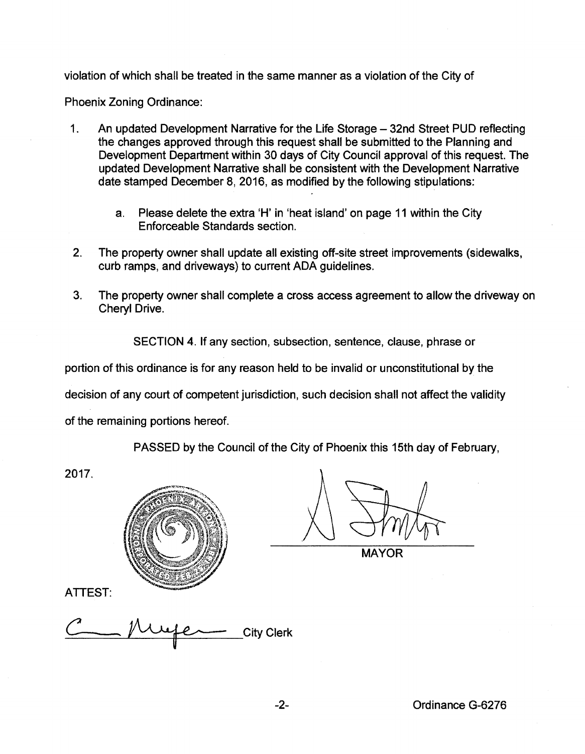violation of which shall be treated in the same manner as a violation of the City of

Phoenix Zoning Ordinance:

- 1. An updated Development Narrative for the Life Storage 32nd Street PUD reflecting the changes approved through this request shall be submitted to the Planning and Development Department within 30 days of City Council approval of this request. The updated Development Narrative shall be consistent with the Development Narrative date stamped December 8, 2016, as modified by the following stipulations:
	- a. Please delete the extra 'H' in 'heat island' on page 11 within the City Enforceable Standards section.
- 2. The property owner shall update all existing off-site street improvements (sidewalks, curb ramps, and driveways} to current ADA guidelines.
- 3. The property owner shall complete a cross access agreement to allow the driveway on Cheryl Drive.

SECTION 4. If any section, subsection, sentence, clause, phrase or

portion of this ordinance is for any reason held to be invalid or unconstitutional by the

decision of any court of competent jurisdiction, such decision shall not affect the validity

of the remaining portions hereof.

PASSED by the Council of the City of Phoenix this 15th day of February,

2017.



**MAYOR** 

ATTEST:

ATTEST:<br><u>C Mufer</u> City Clerk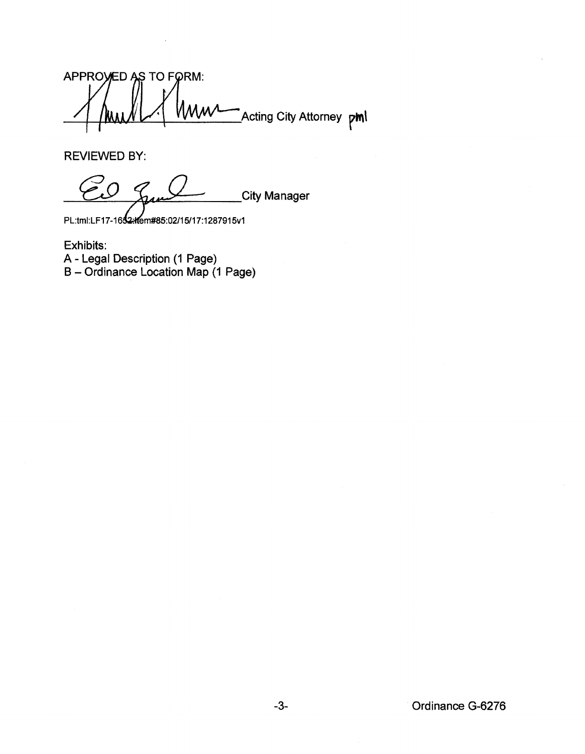APPROVED AS TO FORM: .<br>Acting City Attorney **pml** 

REVIEWED BY:

City Manager

PL:tml:LF17-1652-/tem#85:02/15/17:1287915v1

Exhibits: A- Legal Description (1 Page) B- Ordinance Location Map (1 Page)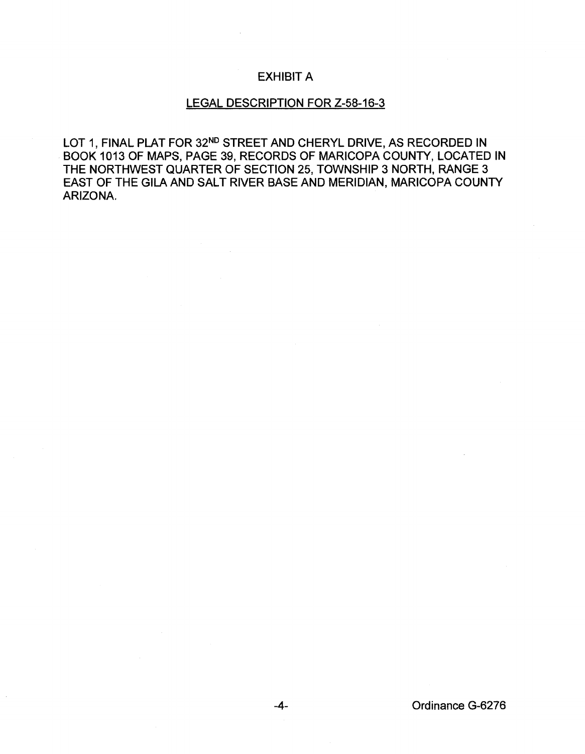## EXHIBIT A

## LEGAL DESCRIPTION FOR Z-58-16-3

LOT 1, FINAL PLAT FOR 32<sup>ND</sup> STREET AND CHERYL DRIVE, AS RECORDED IN BOOK 1013 OF MAPS, PAGE 39, RECORDS OF MARICOPA COUNTY, LOCATED IN THE NORTHWEST QUARTER OF SECTION 25, TOWNSHIP 3 NORTH, RANGE 3 EAST OF THE GILA AND SALT RIVER BASE AND MERIDIAN, MARICOPA COUNTY ARIZONA.